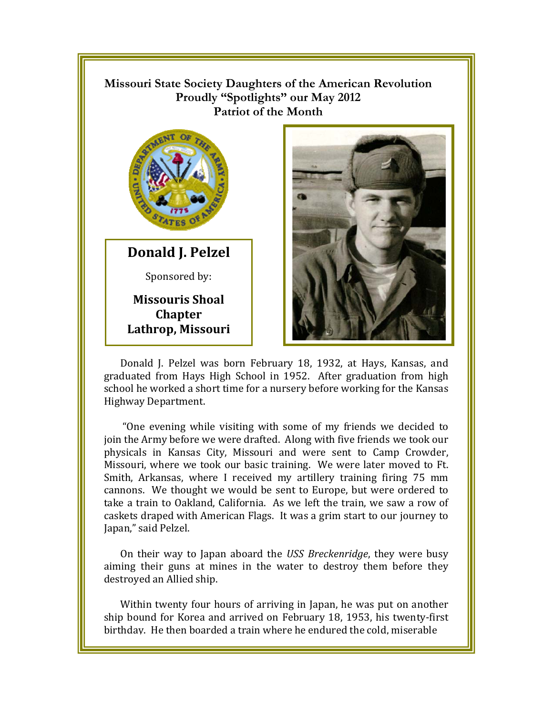## **Missouri State Society Daughters of the American Revolution**  Proudly "Spotlights" our May 2012 **Patriot of the Month**



**Donald J. Pelzel** Sponsored by:

**Missouris Shoal Chapter Lathrop, Missouri** 



graduated from Hays High School in 1952. After graduation from high school he worked a short time for a nursery before working for the Kansas Highway Department.

"One evening while visiting with some of my friends we decided to join the Army before we were drafted. Along with five friends we took our physicals in Kansas City, Missouri and were sent to Camp Crowder, Missouri, where we took our basic training. We were later moved to Ft. Smith, Arkansas, where I received my artillery training firing 75 mm cannons. We thought we would be sent to Europe, but were ordered to take a train to Oakland, California. As we left the train, we saw a row of caskets draped with American Flags. It was a grim start to our journey to Japan," said Pelzel.

On their way to Japan aboard the USS Breckenridge, they were busy aiming their guns at mines in the water to destroy them before they destroyed an Allied ship.

Within twenty four hours of arriving in Japan, he was put on another ship bound for Korea and arrived on February 18, 1953, his twenty-first birthday. He then boarded a train where he endured the cold, miserable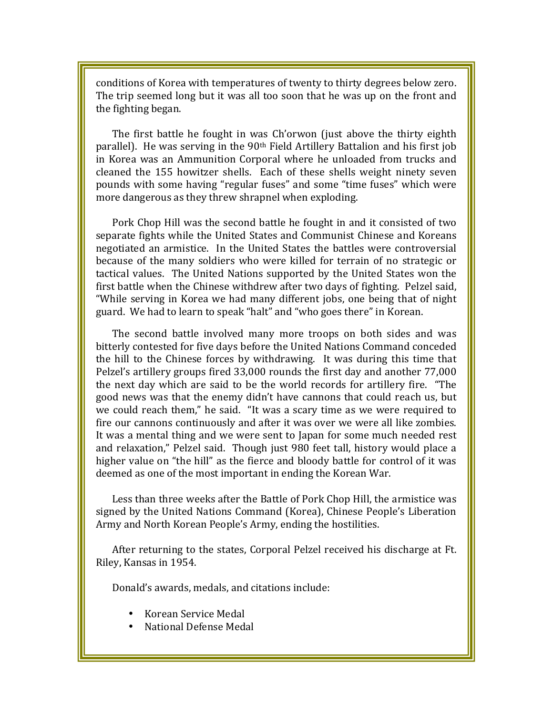conditions of Korea with temperatures of twenty to thirty degrees below zero. The trip seemed long but it was all too soon that he was up on the front and the fighting began.

The first battle he fought in was Ch'orwon (just above the thirty eighth parallel). He was serving in the 90<sup>th</sup> Field Artillery Battalion and his first job in Korea was an Ammunition Corporal where he unloaded from trucks and cleaned the 155 howitzer shells. Each of these shells weight ninety seven pounds with some having "regular fuses" and some "time fuses" which were more dangerous as they threw shrapnel when exploding.

Pork Chop Hill was the second battle he fought in and it consisted of two separate fights while the United States and Communist Chinese and Koreans negotiated an armistice. In the United States the battles were controversial because of the many soldiers who were killed for terrain of no strategic or tactical values. The United Nations supported by the United States won the first battle when the Chinese withdrew after two days of fighting. Pelzel said, "While serving in Korea we had many different jobs, one being that of night guard. We had to learn to speak "halt" and "who goes there" in Korean.

The second battle involved many more troops on both sides and was bitterly contested for five days before the United Nations Command conceded the hill to the Chinese forces by withdrawing. It was during this time that Pelzel's artillery groups fired 33,000 rounds the first day and another 77,000 the next day which are said to be the world records for artillery fire. "The good news was that the enemy didn't have cannons that could reach us, but we could reach them," he said. "It was a scary time as we were required to fire our cannons continuously and after it was over we were all like zombies. It was a mental thing and we were sent to Japan for some much needed rest and relaxation," Pelzel said. Though just 980 feet tall, history would place a higher value on "the hill" as the fierce and bloody battle for control of it was deemed as one of the most important in ending the Korean War.

Less than three weeks after the Battle of Pork Chop Hill, the armistice was signed by the United Nations Command (Korea), Chinese People's Liberation Army and North Korean People's Army, ending the hostilities.

After returning to the states, Corporal Pelzel received his discharge at Ft. Riley, Kansas in 1954.

Donald's awards, medals, and citations include:

- Korean Service Medal
- National Defense Medal